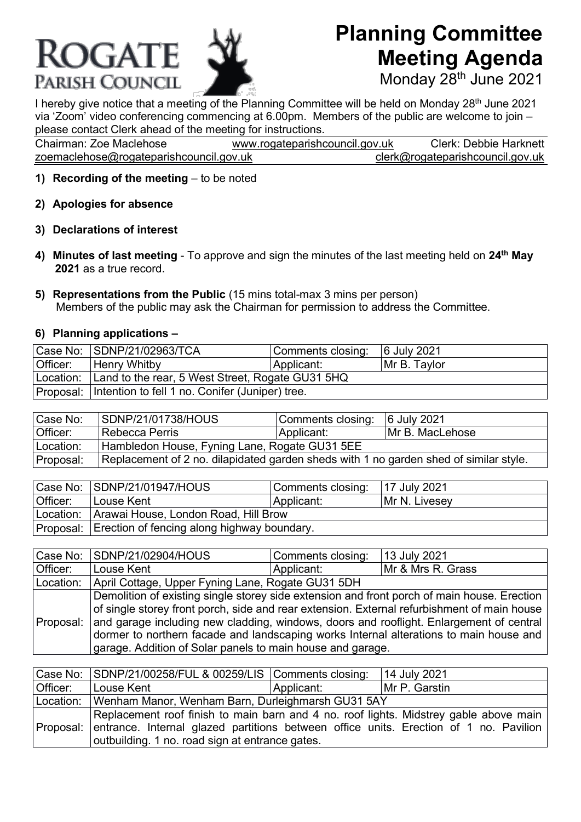## **ROGATE** PARISH COUNCIL

## **Planning Committee Meeting Agenda**

Monday 28<sup>th</sup> June 2021

I hereby give notice that a meeting of the Planning Committee will be held on Monday 28<sup>th</sup> June 2021 via 'Zoom' video conferencing commencing at 6.00pm. Members of the public are welcome to join – please contact Clerk ahead of the meeting for instructions.

| Chairman: Zoe Maclehose                 | www.rogateparishcouncil.gov.uk | <b>Clerk: Debbie Harknett</b>    |
|-----------------------------------------|--------------------------------|----------------------------------|
| zoemaclehose@rogateparishcouncil.gov.uk |                                | clerk@rogateparishcouncil.gov.uk |

- **1) Recording of the meeting** to be noted
- **2) Apologies for absence**
- **3) Declarations of interest**
- **4) Minutes of last meeting**  To approve and sign the minutes of the last meeting held on **24th May 2021** as a true record.
- **5) Representations from the Public** (15 mins total-max 3 mins per person) Members of the public may ask the Chairman for permission to address the Committee.

## **6) Planning applications –**

|          | Case No: SDNP/21/02963/TCA                                 | Comments closing: | 6 July 2021  |
|----------|------------------------------------------------------------|-------------------|--------------|
| Officer: | Henry Whitby                                               | Applicant:        | Mr B. Taylor |
|          | Location: Land to the rear, 5 West Street, Rogate GU31 5HQ |                   |              |
|          | Proposal: Intention to fell 1 no. Conifer (Juniper) tree.  |                   |              |

| Case No:  | SDNP/21/01738/HOUS                                                                    | Comments closing: 6 July 2021 |                  |
|-----------|---------------------------------------------------------------------------------------|-------------------------------|------------------|
| Officer:  | Rebecca Perris                                                                        | Applicant:                    | IMr B. MacLehose |
| Location: | Hambledon House, Fyning Lane, Rogate GU31 5EE                                         |                               |                  |
| Proposal: | Replacement of 2 no. dilapidated garden sheds with 1 no garden shed of similar style. |                               |                  |

|          | Case No: SDNP/21/01947/HOUS                           | Comments closing: | 17 July 2021  |  |
|----------|-------------------------------------------------------|-------------------|---------------|--|
| Officer: | Louse Kent                                            | Applicant:        | Mr N. Livesey |  |
|          | Location: Arawai House, London Road, Hill Brow        |                   |               |  |
|          | Proposal: Erection of fencing along highway boundary. |                   |               |  |

|           | Case No: SDNP/21/02904/HOUS                                                                                                                                                                                                                                                                                                                                                                                                                              | Comments closing: | 13 July 2021      |
|-----------|----------------------------------------------------------------------------------------------------------------------------------------------------------------------------------------------------------------------------------------------------------------------------------------------------------------------------------------------------------------------------------------------------------------------------------------------------------|-------------------|-------------------|
| Officer:  | Louse Kent                                                                                                                                                                                                                                                                                                                                                                                                                                               | Applicant:        | Mr & Mrs R. Grass |
| Location: | April Cottage, Upper Fyning Lane, Rogate GU31 5DH                                                                                                                                                                                                                                                                                                                                                                                                        |                   |                   |
|           | Demolition of existing single storey side extension and front porch of main house. Erection<br>of single storey front porch, side and rear extension. External refurbishment of main house<br>Proposal:  and garage including new cladding, windows, doors and rooflight. Enlargement of central<br>dormer to northern facade and landscaping works Internal alterations to main house and<br>garage. Addition of Solar panels to main house and garage. |                   |                   |

|          | Case No: SDNP/21/00258/FUL & 00259/LIS Comments closing:                                                                                                                                                                                    |            | 14 July 2021  |
|----------|---------------------------------------------------------------------------------------------------------------------------------------------------------------------------------------------------------------------------------------------|------------|---------------|
| Officer: | Louse Kent                                                                                                                                                                                                                                  | Applicant: | Mr P. Garstin |
|          | Location: Wenham Manor, Wenham Barn, Durleighmarsh GU31 5AY                                                                                                                                                                                 |            |               |
|          | Replacement roof finish to main barn and 4 no. roof lights. Midstrey gable above main<br>Proposal: entrance. Internal glazed partitions between office units. Erection of 1 no. Pavilion<br>outbuilding. 1 no. road sign at entrance gates. |            |               |